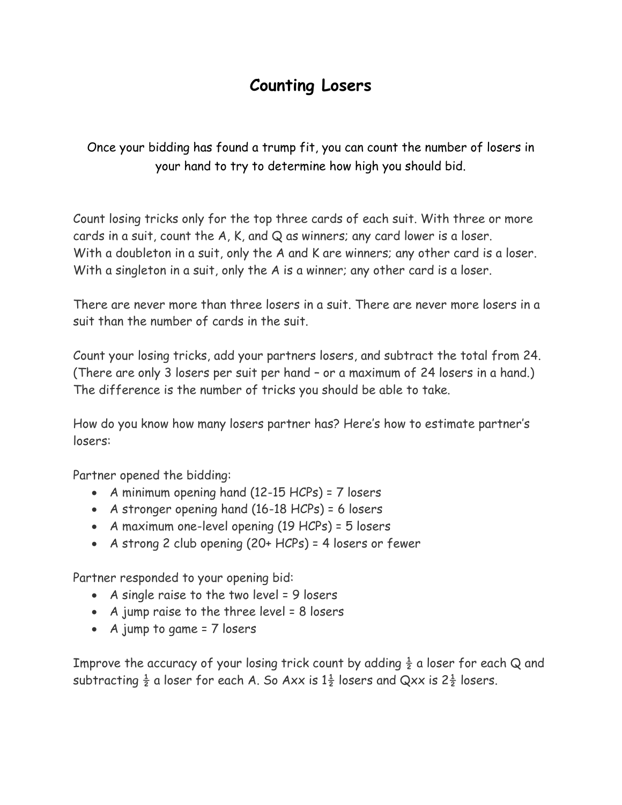## **Counting Losers**

Once your bidding has found a trump fit, you can count the number of losers in your hand to try to determine how high you should bid.

Count losing tricks only for the top three cards of each suit. With three or more cards in a suit, count the A, K, and Q as winners; any card lower is a loser. With a doubleton in a suit, only the A and K are winners; any other card is a loser. With a singleton in a suit, only the A is a winner; any other card is a loser.

There are never more than three losers in a suit. There are never more losers in a suit than the number of cards in the suit.

Count your losing tricks, add your partners losers, and subtract the total from 24. (There are only 3 losers per suit per hand – or a maximum of 24 losers in a hand.) The difference is the number of tricks you should be able to take.

How do you know how many losers partner has? Here's how to estimate partner's losers:

Partner opened the bidding:

- A minimum opening hand (12-15 HCPs) = 7 losers
- A stronger opening hand (16-18 HCPs) = 6 losers
- A maximum one-level opening (19 HCPs) = 5 losers
- A strong 2 club opening (20+ HCPs) = 4 losers or fewer

Partner responded to your opening bid:

- A single raise to the two level = 9 losers
- A jump raise to the three level = 8 losers
- A jump to game = 7 losers

Improve the accuracy of your losing trick count by adding  $\frac{1}{2}$  a loser for each Q and subtracting  $\frac{1}{2}$  a loser for each A. So Axx is  $1\frac{1}{2}$  losers and Qxx is  $2\frac{1}{2}$  losers.